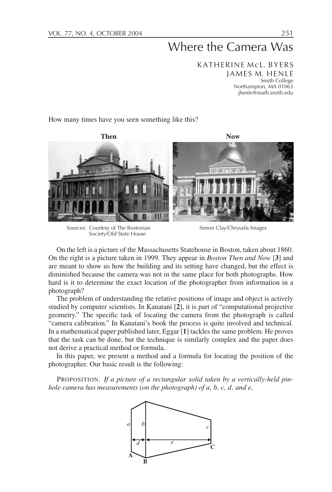# Where the Camera Was

KATHERINE McL. BYERS JAMES M. HENLE Smith College Northampton, MA 01063 jhenle@math.smith.edu

How many times have you seen something like this?



Sources: Courtesy of The Bostonian Society/Old State House

Simon Clay/Chrysalis Images

On the left is a picture of the Massachusetts Statehouse in Boston, taken about 1860. On the right is a picture taken in 1999. They appear in *Boston Then and Now* [**3**] and are meant to show us how the building and its setting have changed, but the effect is diminished because the camera was not in the same place for both photographs. How hard is it to determine the exact location of the photographer from information in a photograph?

The problem of understanding the relative positions of image and object is actively studied by computer scientists. In Kanatani [**2**], it is part of "computational projective geometry." The specific task of locating the camera from the photograph is called "camera calibration." In Kanatani's book the process is quite involved and technical. In a mathematical paper published later, Eggar [**1**] tackles the same problem. He proves that the task can be done, but the technique is similarly complex and the paper does not derive a practical method or formula.

In this paper, we present a method and a formula for locating the position of the photographer. Our basic result is the following:

PROPOSITION. *If a picture of a rectangular solid taken by a vertically-held pinhole camera has measurements (on the photograph) of a, b, c, d, and e,*

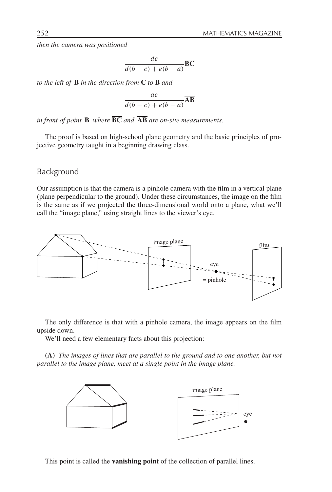*then the camera was positioned*

$$
\frac{dc}{d(b-c) + e(b-a)}\overline{BC}
$$

*to the left of* **B** *in the direction from* **C** *to* **B** *and*

$$
\frac{ae}{d(b-c) + e(b-a)}\overline{\textbf{AB}}
$$

*in front of point* **B***, where* **BC** *and* **AB** *are on-site measurements.*

The proof is based on high-school plane geometry and the basic principles of projective geometry taught in a beginning drawing class.

#### Background

Our assumption is that the camera is a pinhole camera with the film in a vertical plane (plane perpendicular to the ground). Under these circumstances, the image on the film is the same as if we projected the three-dimensional world onto a plane, what we'll call the "image plane," using straight lines to the viewer's eye.



The only difference is that with a pinhole camera, the image appears on the film upside down.

We'll need a few elementary facts about this projection:

**(A)** *The images of lines that are parallel to the ground and to one another, but not parallel to the image plane, meet at a single point in the image plane.*



This point is called the **vanishing point** of the collection of parallel lines.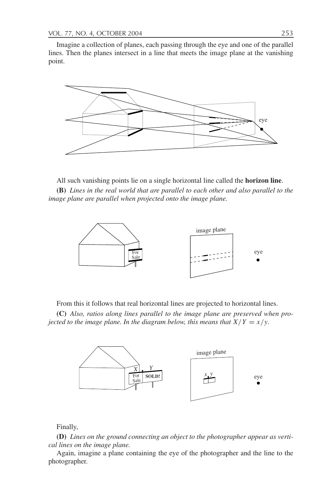Imagine a collection of planes, each passing through the eye and one of the parallel lines. Then the planes intersect in a line that meets the image plane at the vanishing point.



All such vanishing points lie on a single horizontal line called the **horizon line**.

**(B)** *Lines in the real world that are parallel to each other and also parallel to the image plane are parallel when projected onto the image plane.*



From this it follows that real horizontal lines are projected to horizontal lines.

**(C)** *Also, ratios along lines parallel to the image plane are preserved when projected to the image plane. In the diagram below, this means that*  $X/Y = x/y$ .



Finally,

**(D)** *Lines on the ground connecting an object to the photographer appear as vertical lines on the image plane.*

Again, imagine a plane containing the eye of the photographer and the line to the photographer.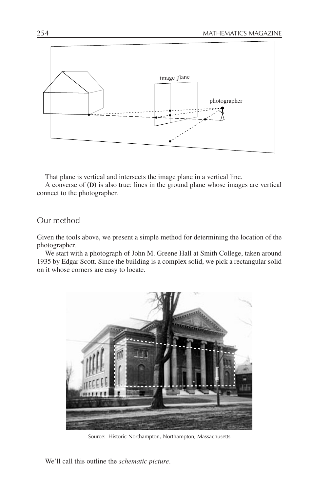

That plane is vertical and intersects the image plane in a vertical line.

A converse of **(D)** is also true: lines in the ground plane whose images are vertical connect to the photographer.

### Our method

Given the tools above, we present a simple method for determining the location of the photographer.

We start with a photograph of John M. Greene Hall at Smith College, taken around 1935 by Edgar Scott. Since the building is a complex solid, we pick a rectangular solid on it whose corners are easy to locate.



Source: Historic Northampton, Northampton, Massachusetts

We'll call this outline the *schematic picture*.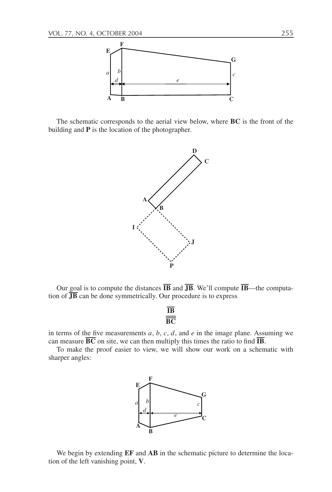

The schematic corresponds to the aerial view below, where **BC** is the front of the building and **P** is the location of the photographer.



Our goal is to compute the distances  $\overline{IB}$  and  $\overline{JB}$ . We'll compute  $\overline{IB}$ —the computation of  $\overline{JB}$  can be done symmetrically. Our procedure is to express

$$
\frac{\overline{\text{IB}}}{\overline{\text{BC}}}
$$

in terms of the five measurements  $a, b, c, d$ , and  $e$  in the image plane. Assuming we can measure  $\overline{BC}$  on site, we can then multiply this times the ratio to find  $\overline{IB}$ .

To make the proof easier to view, we will show our work on a schematic with sharper angles:



We begin by extending **EF** and **AB** in the schematic picture to determine the location of the left vanishing point, **V**.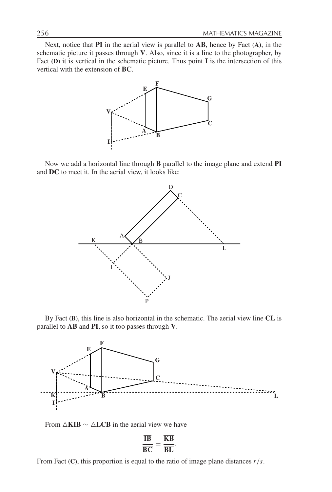Next, notice that **PI** in the aerial view is parallel to **AB**, hence by Fact **(A)**, in the schematic picture it passes through **V**. Also, since it is a line to the photographer, by Fact **(D)** it is vertical in the schematic picture. Thus point **I** is the intersection of this vertical with the extension of **BC**.



Now we add a horizontal line through **B** parallel to the image plane and extend **PI** and **DC** to meet it. In the aerial view, it looks like:



By Fact **(B)**, this line is also horizontal in the schematic. The aerial view line **CL** is parallel to **AB** and **PI**, so it too passes through **V**.



From  $\triangle$ **KIB**  $\sim$   $\triangle$ **LCB** in the aerial view we have

$$
\frac{\overline{\text{IB}}}{\overline{\text{BC}}} = \frac{\overline{\text{KB}}}{\overline{\text{BL}}}.
$$

From Fact **(C)**, this proportion is equal to the ratio of image plane distances *r*/*s*.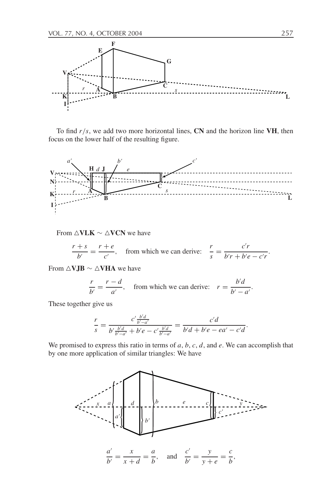

To find  $r/s$ , we add two more horizontal lines, CN and the horizon line VH, then focus on the lower half of the resulting figure.



From  $\triangle$ VL**K**  $\sim$   $\triangle$ VCN we have

$$
\frac{r+s}{b'} = \frac{r+e}{c'}, \quad \text{from which we can derive:} \quad \frac{r}{s} = \frac{c'r}{b'r + b'e - c'r}
$$

From **VJB** ∼ **VHA** we have

$$
\frac{r}{b'} = \frac{r - d}{a'},
$$
 from which we can derive:  $r = \frac{b'd}{b' - a'}.$ 

These together give us

$$
\frac{r}{s} = \frac{c' \frac{b'd}{b'-a'}}{b' \frac{b'd}{b'-a'} + b'e - c' \frac{b'd}{b'-a'}} = \frac{c'd}{b'd + b'e - ea' - c'd}.
$$

We promised to express this ratio in terms of *a*, *b*, *c*, *d*, and *e*. We can accomplish that by one more application of similar triangles: We have



.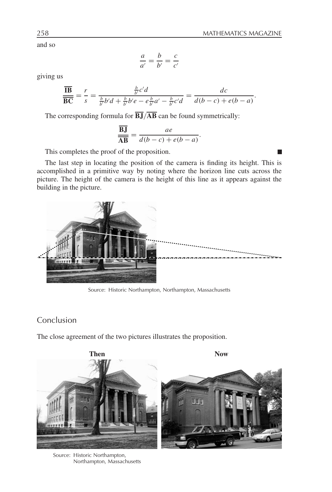П

and so

$$
\frac{a}{a'} = \frac{b}{b'} = \frac{c}{c'}
$$

giving us

$$
\frac{\overline{\textbf{IB}}}{\overline{\textbf{BC}}} = \frac{r}{s} = \frac{\frac{b}{b'}c'd}{\frac{b}{b'}b'd + \frac{b}{b'}b'e - e\frac{b}{b'}a' - \frac{b}{b'}c'd} = \frac{dc}{d(b-c) + e(b-a)}.
$$

The corresponding formula for  $\overline{BJ}/\overline{AB}$  can be found symmetrically:

$$
\frac{\overline{BJ}}{\overline{AB}} = \frac{ae}{d(b-c) + e(b-a)}.
$$

This completes the proof of the proposition.

The last step in locating the position of the camera is finding its height. This is accomplished in a primitive way by noting where the horizon line cuts across the picture. The height of the camera is the height of this line as it appears against the building in the picture.



Source: Historic Northampton, Northampton, Massachusetts

## Conclusion

The close agreement of the two pictures illustrates the proposition.



Source: Historic Northampton, Northampton, Massachusetts